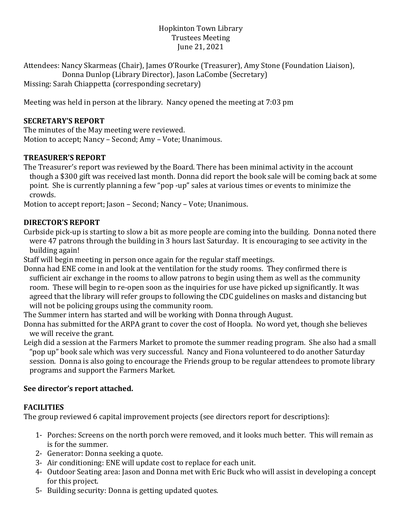# Hopkinton Town Library Trustees Meeting June 21, 2021

Attendees: Nancy Skarmeas (Chair), James O'Rourke (Treasurer), Amy Stone (Foundation Liaison),

Donna Dunlop (Library Director), Jason LaCombe (Secretary) Missing: Sarah Chiappetta (corresponding secretary)

Meeting was held in person at the library. Nancy opened the meeting at 7:03 pm

# **SECRETARY'S REPORT**

The minutes of the May meeting were reviewed. Motion to accept; Nancy – Second; Amy – Vote; Unanimous.

## **TREASURER'S REPORT**

The Treasurer's report was reviewed by the Board. There has been minimal activity in the account though a \$300 gift was received last month. Donna did report the book sale will be coming back at some point. She is currently planning a few "pop -up" sales at various times or events to minimize the crowds.

Motion to accept report; Jason – Second; Nancy – Vote; Unanimous.

## **DIRECTOR'S REPORT**

Curbside pick-up is starting to slow a bit as more people are coming into the building. Donna noted there were 47 patrons through the building in 3 hours last Saturday. It is encouraging to see activity in the building again!

Staff will begin meeting in person once again for the regular staff meetings.

Donna had ENE come in and look at the ventilation for the study rooms. They confirmed there is sufficient air exchange in the rooms to allow patrons to begin using them as well as the community room. These will begin to re-open soon as the inquiries for use have picked up significantly. It was agreed that the library will refer groups to following the CDC guidelines on masks and distancing but will not be policing groups using the community room.

The Summer intern has started and will be working with Donna through August.

Donna has submitted for the ARPA grant to cover the cost of Hoopla. No word yet, though she believes we will receive the grant.

Leigh did a session at the Farmers Market to promote the summer reading program. She also had a small "pop up" book sale which was very successful. Nancy and Fiona volunteered to do another Saturday session. Donna is also going to encourage the Friends group to be regular attendees to promote library programs and support the Farmers Market.

#### **See director's report attached.**

#### **FACILITIES**

The group reviewed 6 capital improvement projects (see directors report for descriptions):

- 1- Porches: Screens on the north porch were removed, and it looks much better. This will remain as is for the summer.
- 2- Generator: Donna seeking a quote.
- 3- Air conditioning: ENE will update cost to replace for each unit.
- 4- Outdoor Seating area: Jason and Donna met with Eric Buck who will assist in developing a concept for this project.
- 5- Building security: Donna is getting updated quotes.